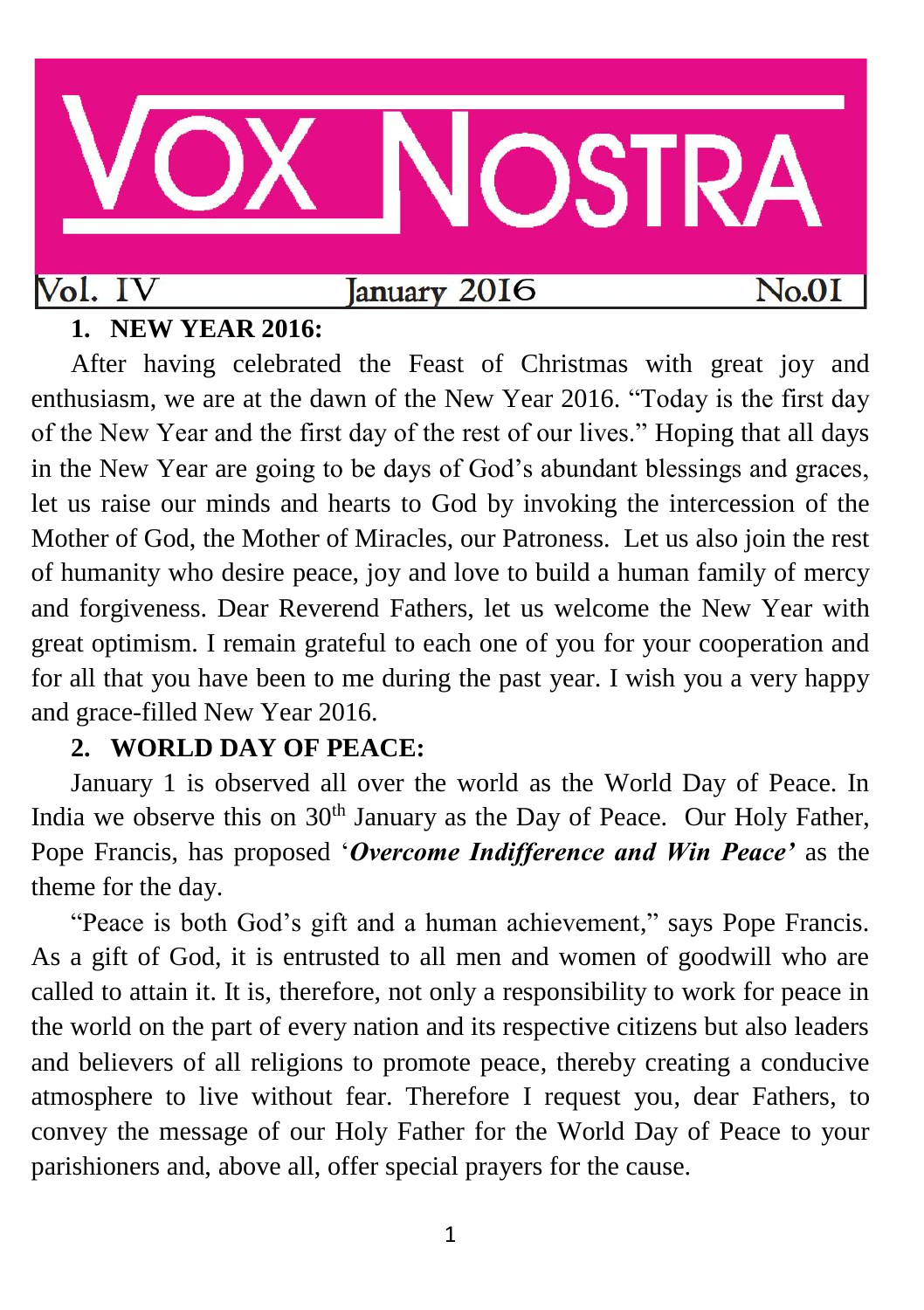

# **1. NEW YEAR 2016:**

After having celebrated the Feast of Christmas with great joy and enthusiasm, we are at the dawn of the New Year 2016. "Today is the first day of the New Year and the first day of the rest of our lives." Hoping that all days in the New Year are going to be days of God's abundant blessings and graces, let us raise our minds and hearts to God by invoking the intercession of the Mother of God, the Mother of Miracles, our Patroness. Let us also join the rest of humanity who desire peace, joy and love to build a human family of mercy and forgiveness. Dear Reverend Fathers, let us welcome the New Year with great optimism. I remain grateful to each one of you for your cooperation and for all that you have been to me during the past year. I wish you a very happy and grace-filled New Year 2016.

# **2. WORLD DAY OF PEACE:**

January 1 is observed all over the world as the World Day of Peace. In India we observe this on  $30<sup>th</sup>$  January as the Day of Peace. Our Holy Father, Pope Francis, has proposed '*Overcome Indifference and Win Peace'* as the theme for the day.

"Peace is both God's gift and a human achievement," says Pope Francis. As a gift of God, it is entrusted to all men and women of goodwill who are called to attain it. It is, therefore, not only a responsibility to work for peace in the world on the part of every nation and its respective citizens but also leaders and believers of all religions to promote peace, thereby creating a conducive atmosphere to live without fear. Therefore I request you, dear Fathers, to convey the message of our Holy Father for the World Day of Peace to your parishioners and, above all, offer special prayers for the cause.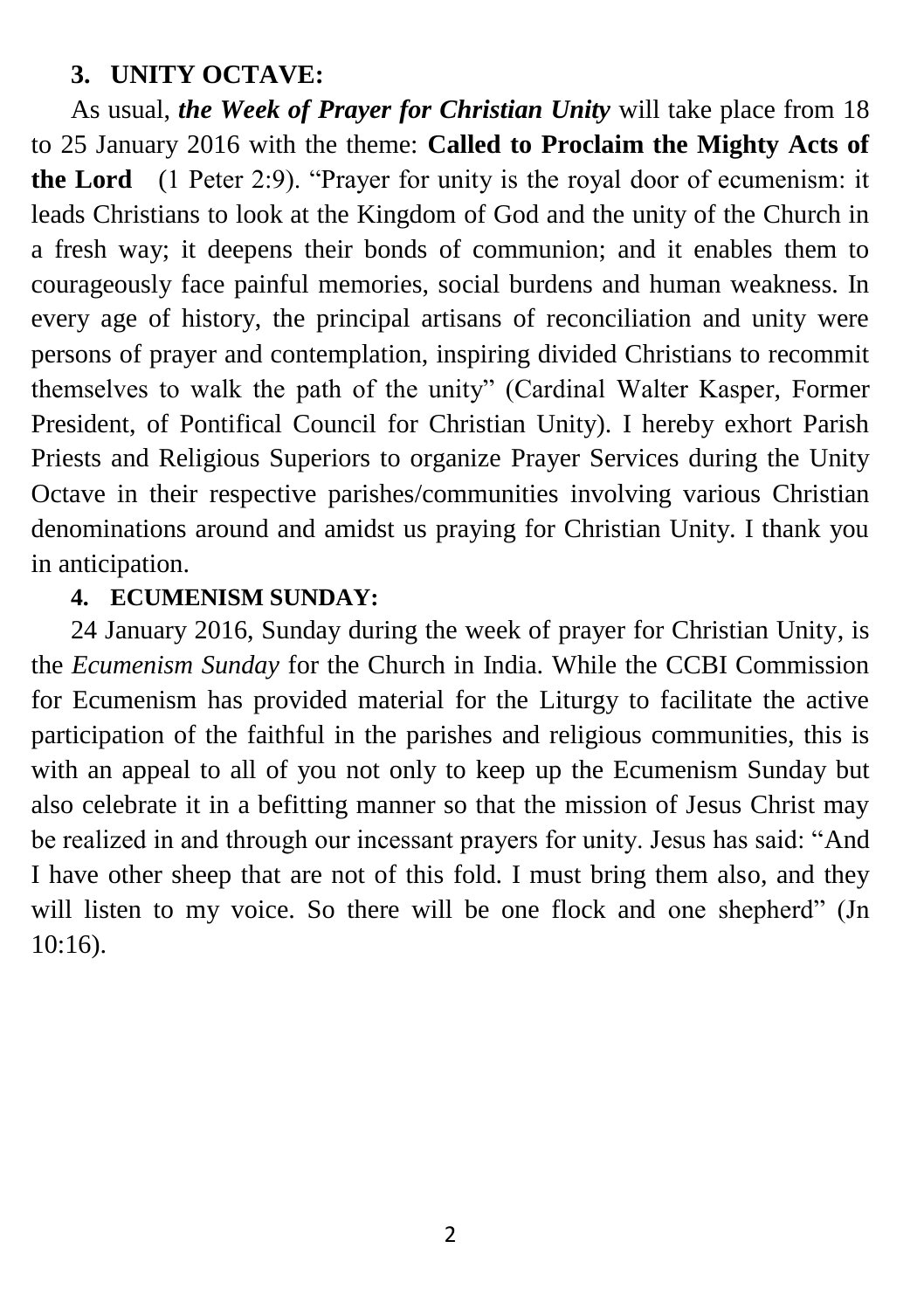# **3. UNITY OCTAVE:**

As usual, *the Week of Prayer for Christian Unity* will take place from 18 to 25 January 2016 with the theme: **Called to Proclaim the Mighty Acts of the Lord** (1 Peter 2:9). "Prayer for unity is the royal door of ecumenism: it leads Christians to look at the Kingdom of God and the unity of the Church in a fresh way; it deepens their bonds of communion; and it enables them to courageously face painful memories, social burdens and human weakness. In every age of history, the principal artisans of reconciliation and unity were persons of prayer and contemplation, inspiring divided Christians to recommit themselves to walk the path of the unity" (Cardinal Walter Kasper, Former President, of Pontifical Council for Christian Unity). I hereby exhort Parish Priests and Religious Superiors to organize Prayer Services during the Unity Octave in their respective parishes/communities involving various Christian denominations around and amidst us praying for Christian Unity. I thank you in anticipation.

## **4. ECUMENISM SUNDAY:**

24 January 2016, Sunday during the week of prayer for Christian Unity, is the *Ecumenism Sunday* for the Church in India. While the CCBI Commission for Ecumenism has provided material for the Liturgy to facilitate the active participation of the faithful in the parishes and religious communities, this is with an appeal to all of you not only to keep up the Ecumenism Sunday but also celebrate it in a befitting manner so that the mission of Jesus Christ may be realized in and through our incessant prayers for unity. Jesus has said: "And I have other sheep that are not of this fold. I must bring them also, and they will listen to my voice. So there will be one flock and one shepherd" (Jn 10:16).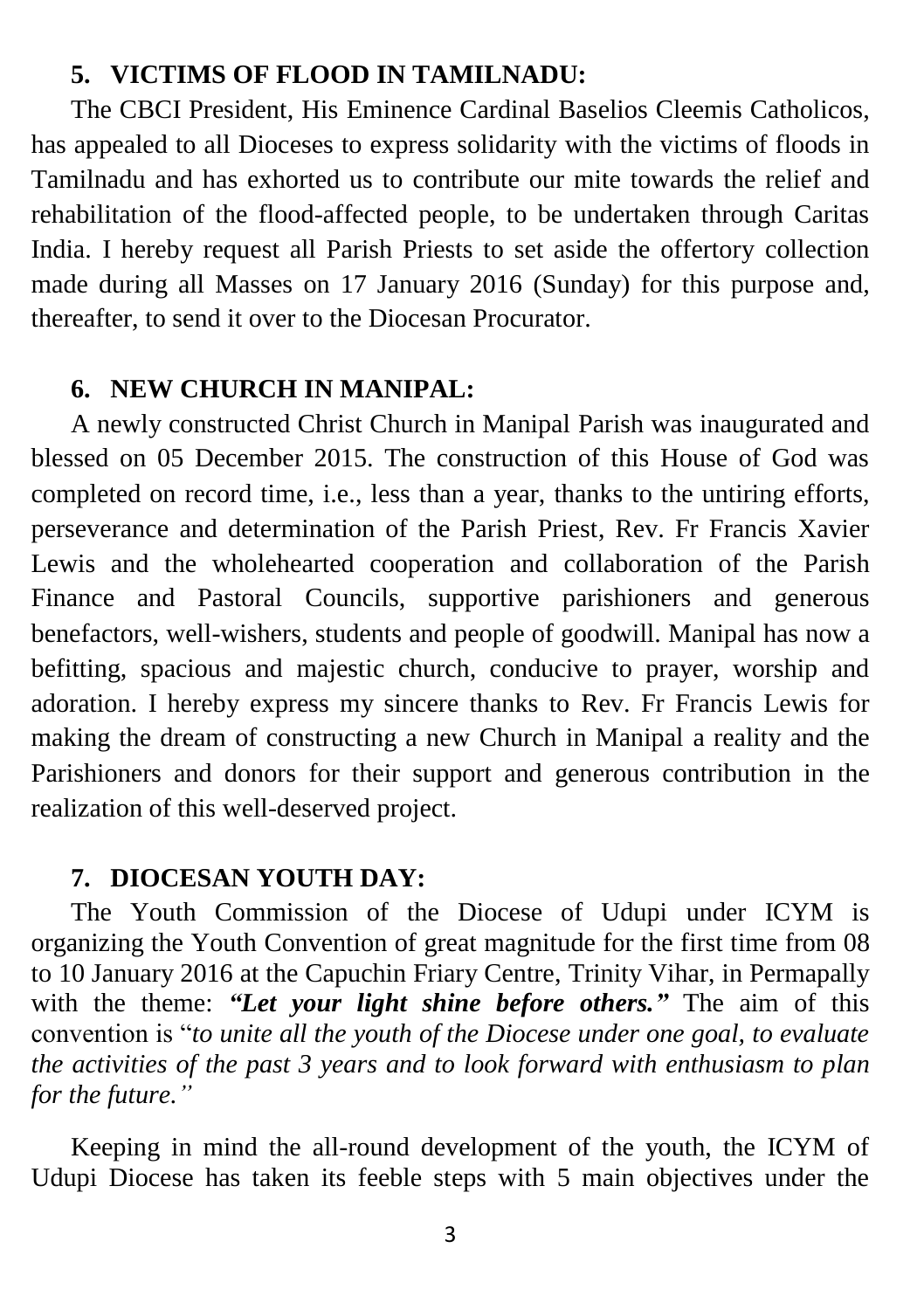### **5. VICTIMS OF FLOOD IN TAMILNADU:**

The CBCI President, His Eminence Cardinal Baselios Cleemis Catholicos, has appealed to all Dioceses to express solidarity with the victims of floods in Tamilnadu and has exhorted us to contribute our mite towards the relief and rehabilitation of the flood-affected people, to be undertaken through Caritas India. I hereby request all Parish Priests to set aside the offertory collection made during all Masses on 17 January 2016 (Sunday) for this purpose and, thereafter, to send it over to the Diocesan Procurator.

#### **6. NEW CHURCH IN MANIPAL:**

A newly constructed Christ Church in Manipal Parish was inaugurated and blessed on 05 December 2015. The construction of this House of God was completed on record time, i.e., less than a year, thanks to the untiring efforts, perseverance and determination of the Parish Priest, Rev. Fr Francis Xavier Lewis and the wholehearted cooperation and collaboration of the Parish Finance and Pastoral Councils, supportive parishioners and generous benefactors, well-wishers, students and people of goodwill. Manipal has now a befitting, spacious and majestic church, conducive to prayer, worship and adoration. I hereby express my sincere thanks to Rev. Fr Francis Lewis for making the dream of constructing a new Church in Manipal a reality and the Parishioners and donors for their support and generous contribution in the realization of this well-deserved project.

#### **7. DIOCESAN YOUTH DAY:**

The Youth Commission of the Diocese of Udupi under ICYM is organizing the Youth Convention of great magnitude for the first time from 08 to 10 January 2016 at the Capuchin Friary Centre, Trinity Vihar, in Permapally with the theme: *"Let your light shine before others."* The aim of this convention is "*to unite all the youth of the Diocese under one goal, to evaluate the activities of the past 3 years and to look forward with enthusiasm to plan for the future."*

Keeping in mind the all-round development of the youth, the ICYM of Udupi Diocese has taken its feeble steps with 5 main objectives under the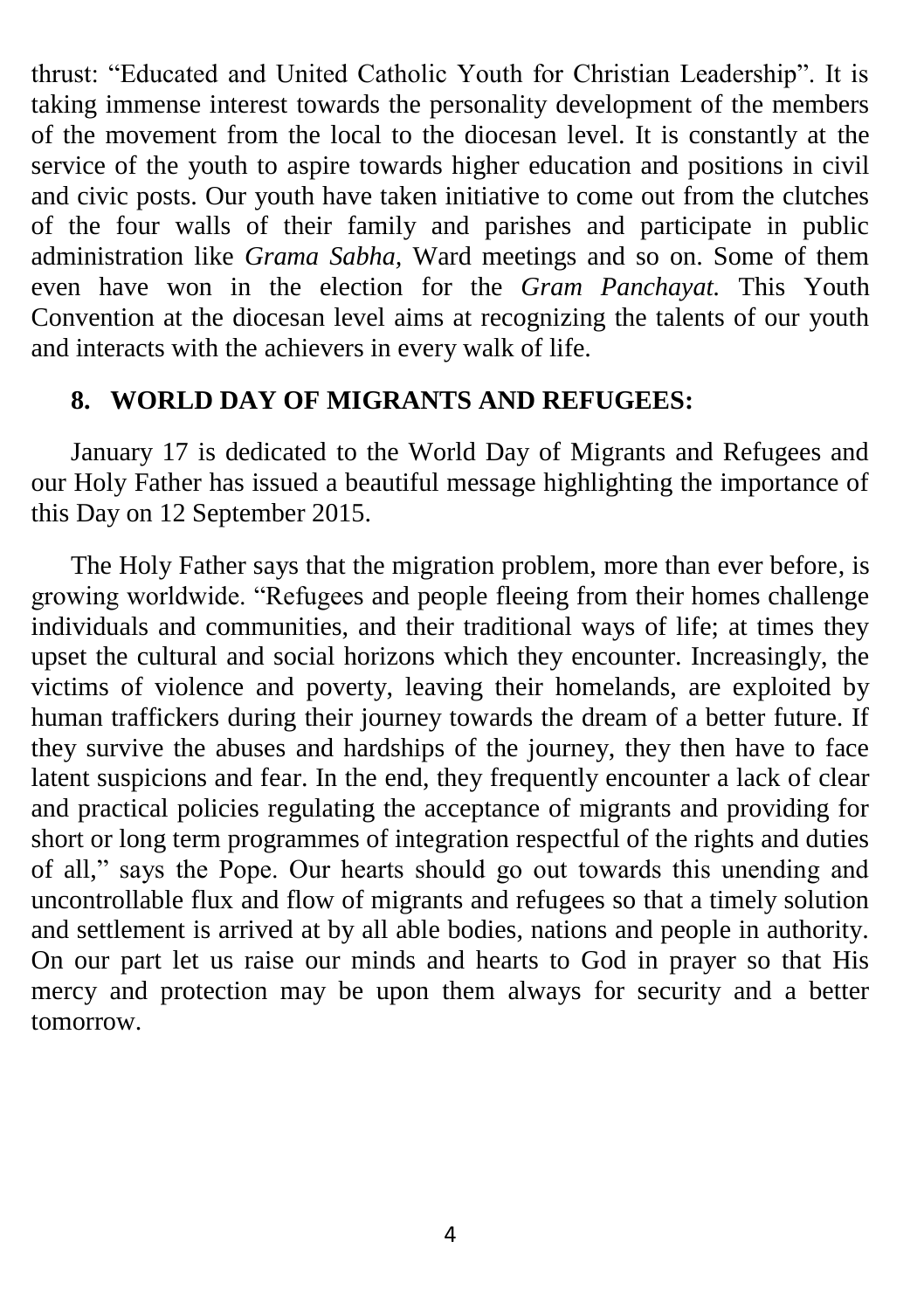thrust: "Educated and United Catholic Youth for Christian Leadership". It is taking immense interest towards the personality development of the members of the movement from the local to the diocesan level. It is constantly at the service of the youth to aspire towards higher education and positions in civil and civic posts. Our youth have taken initiative to come out from the clutches of the four walls of their family and parishes and participate in public administration like *Grama Sabha,* Ward meetings and so on. Some of them even have won in the election for the *Gram Panchayat.* This Youth Convention at the diocesan level aims at recognizing the talents of our youth and interacts with the achievers in every walk of life.

#### **8. WORLD DAY OF MIGRANTS AND REFUGEES:**

January 17 is dedicated to the World Day of Migrants and Refugees and our Holy Father has issued a beautiful message highlighting the importance of this Day on 12 September 2015.

The Holy Father says that the migration problem, more than ever before, is growing worldwide. "Refugees and people fleeing from their homes challenge individuals and communities, and their traditional ways of life; at times they upset the cultural and social horizons which they encounter. Increasingly, the victims of violence and poverty, leaving their homelands, are exploited by human traffickers during their journey towards the dream of a better future. If they survive the abuses and hardships of the journey, they then have to face latent suspicions and fear. In the end, they frequently encounter a lack of clear and practical policies regulating the acceptance of migrants and providing for short or long term programmes of integration respectful of the rights and duties of all," says the Pope. Our hearts should go out towards this unending and uncontrollable flux and flow of migrants and refugees so that a timely solution and settlement is arrived at by all able bodies, nations and people in authority. On our part let us raise our minds and hearts to God in prayer so that His mercy and protection may be upon them always for security and a better tomorrow.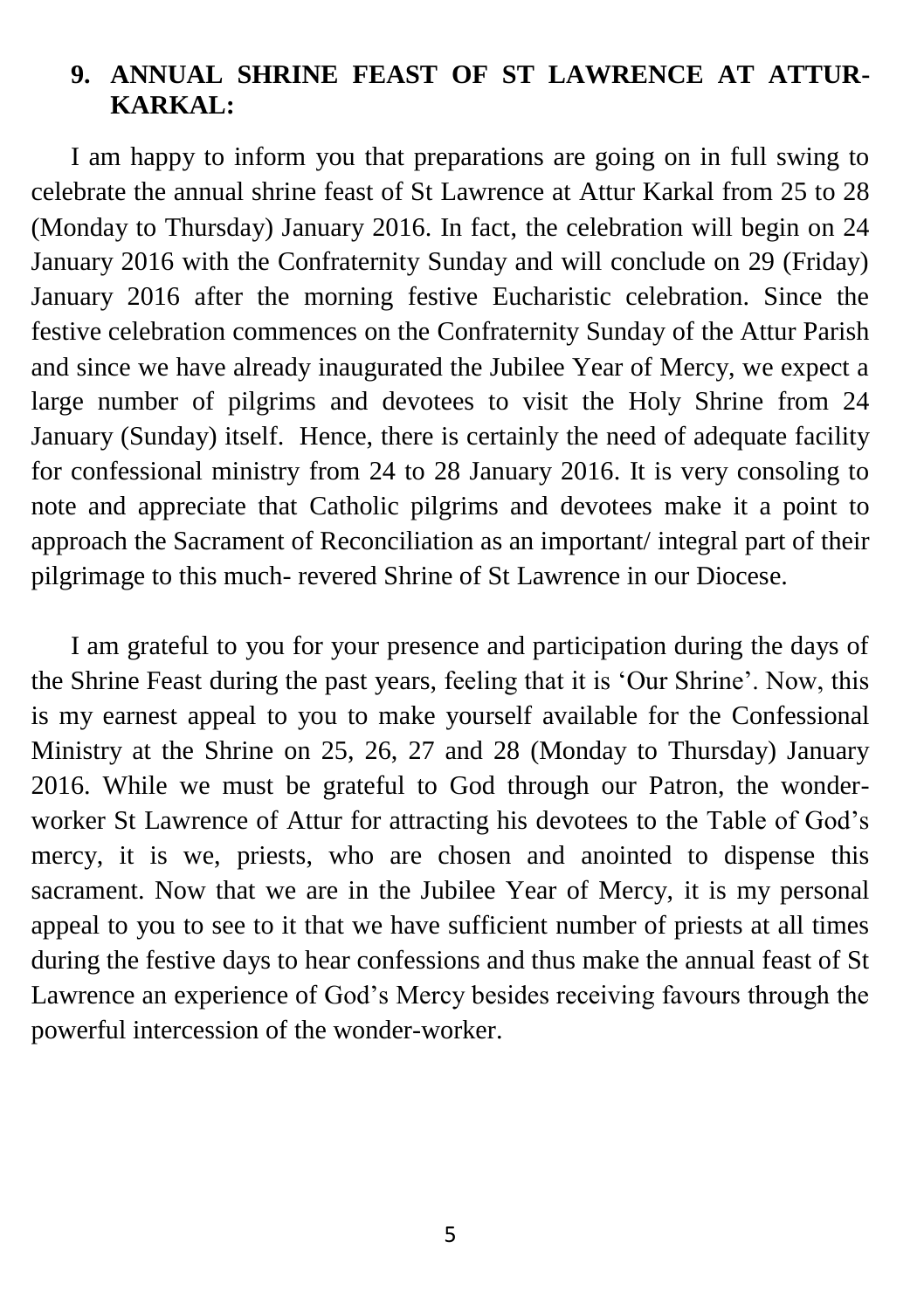# **9. ANNUAL SHRINE FEAST OF ST LAWRENCE AT ATTUR-KARKAL:**

I am happy to inform you that preparations are going on in full swing to celebrate the annual shrine feast of St Lawrence at Attur Karkal from 25 to 28 (Monday to Thursday) January 2016. In fact, the celebration will begin on 24 January 2016 with the Confraternity Sunday and will conclude on 29 (Friday) January 2016 after the morning festive Eucharistic celebration. Since the festive celebration commences on the Confraternity Sunday of the Attur Parish and since we have already inaugurated the Jubilee Year of Mercy, we expect a large number of pilgrims and devotees to visit the Holy Shrine from 24 January (Sunday) itself. Hence, there is certainly the need of adequate facility for confessional ministry from 24 to 28 January 2016. It is very consoling to note and appreciate that Catholic pilgrims and devotees make it a point to approach the Sacrament of Reconciliation as an important/ integral part of their pilgrimage to this much- revered Shrine of St Lawrence in our Diocese.

I am grateful to you for your presence and participation during the days of the Shrine Feast during the past years, feeling that it is 'Our Shrine'. Now, this is my earnest appeal to you to make yourself available for the Confessional Ministry at the Shrine on 25, 26, 27 and 28 (Monday to Thursday) January 2016. While we must be grateful to God through our Patron, the wonderworker St Lawrence of Attur for attracting his devotees to the Table of God's mercy, it is we, priests, who are chosen and anointed to dispense this sacrament. Now that we are in the Jubilee Year of Mercy, it is my personal appeal to you to see to it that we have sufficient number of priests at all times during the festive days to hear confessions and thus make the annual feast of St Lawrence an experience of God's Mercy besides receiving favours through the powerful intercession of the wonder-worker.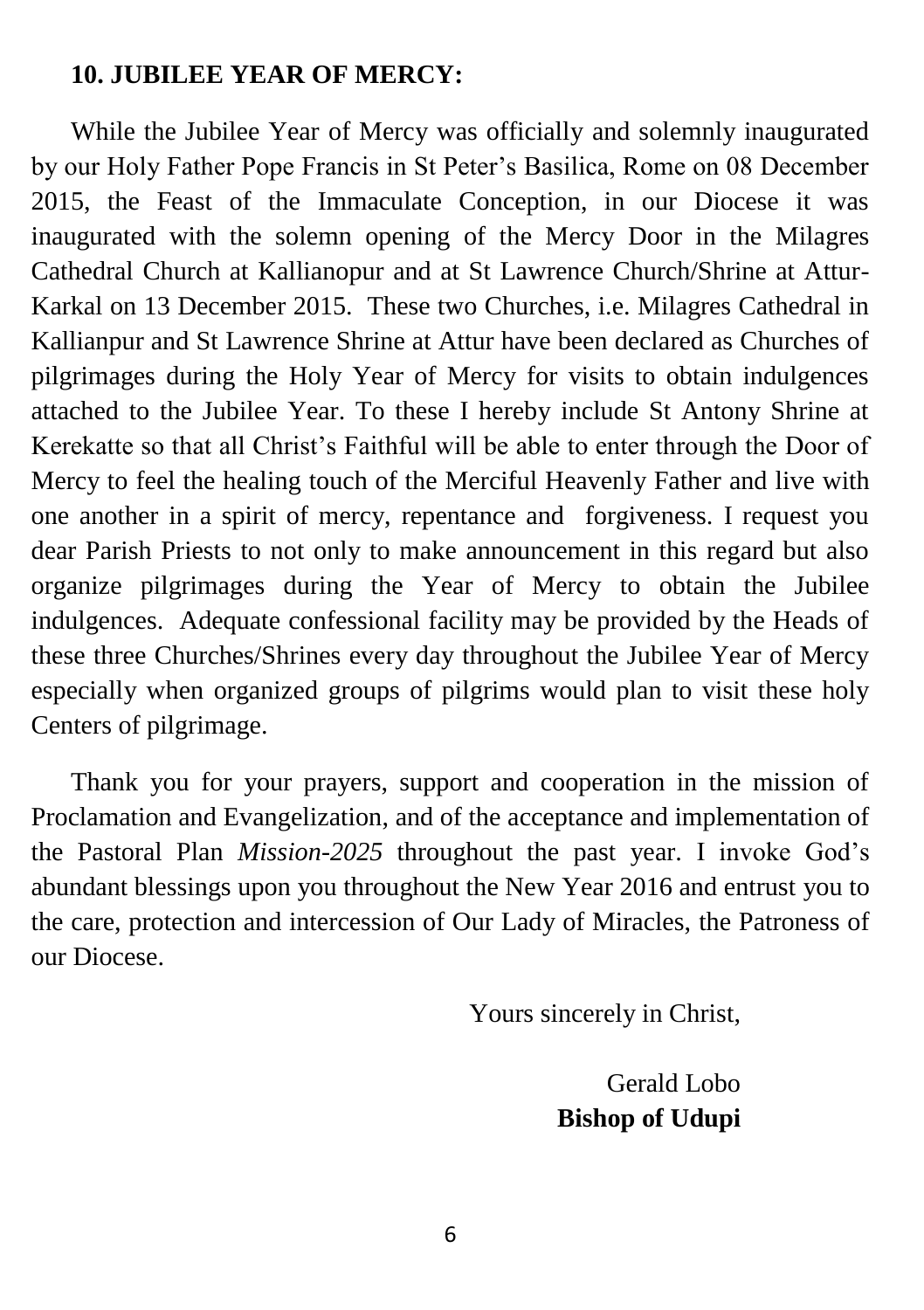## **10. JUBILEE YEAR OF MERCY:**

While the Jubilee Year of Mercy was officially and solemnly inaugurated by our Holy Father Pope Francis in St Peter's Basilica, Rome on 08 December 2015, the Feast of the Immaculate Conception, in our Diocese it was inaugurated with the solemn opening of the Mercy Door in the Milagres Cathedral Church at Kallianopur and at St Lawrence Church/Shrine at Attur-Karkal on 13 December 2015. These two Churches, i.e. Milagres Cathedral in Kallianpur and St Lawrence Shrine at Attur have been declared as Churches of pilgrimages during the Holy Year of Mercy for visits to obtain indulgences attached to the Jubilee Year. To these I hereby include St Antony Shrine at Kerekatte so that all Christ's Faithful will be able to enter through the Door of Mercy to feel the healing touch of the Merciful Heavenly Father and live with one another in a spirit of mercy, repentance and forgiveness. I request you dear Parish Priests to not only to make announcement in this regard but also organize pilgrimages during the Year of Mercy to obtain the Jubilee indulgences. Adequate confessional facility may be provided by the Heads of these three Churches/Shrines every day throughout the Jubilee Year of Mercy especially when organized groups of pilgrims would plan to visit these holy Centers of pilgrimage.

Thank you for your prayers, support and cooperation in the mission of Proclamation and Evangelization, and of the acceptance and implementation of the Pastoral Plan *Mission-2025* throughout the past year. I invoke God's abundant blessings upon you throughout the New Year 2016 and entrust you to the care, protection and intercession of Our Lady of Miracles, the Patroness of our Diocese.

Yours sincerely in Christ,

Gerald Lobo **Bishop of Udupi**